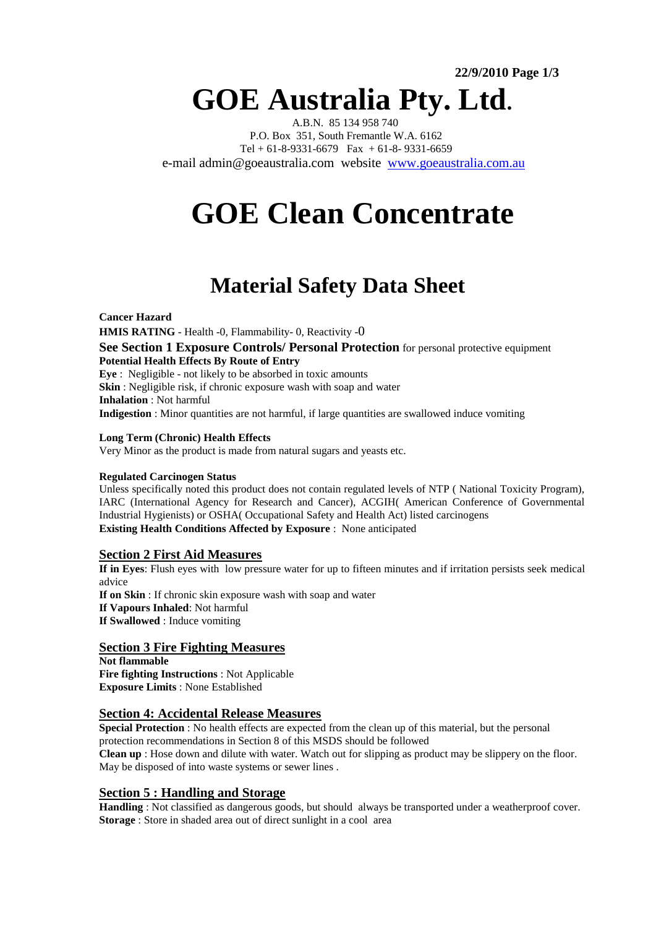# **GOE Australia Pty. Ltd.**

 A.B.N. 85 134 958 740 P.O. Box 351, South Fremantle W.A. 6162 Tel +  $61-8-9331-6679$  Fax +  $61-8-9331-6659$ e-mail admin@goeaustralia.com website www.goeaustralia.com.au

# **GOE Clean Concentrate**

# **Material Safety Data Sheet**

**Cancer Hazard HMIS RATING** - Health -0, Flammability- 0, Reactivity -0 **See Section 1 Exposure Controls/ Personal Protection** for personal protective equipment **Potential Health Effects By Route of Entry Eye** :Negligible - not likely to be absorbed in toxic amounts **Skin** : Negligible risk, if chronic exposure wash with soap and water **Inhalation** : Not harmful **Indigestion** : Minor quantities are not harmful, if large quantities are swallowed induce vomiting

# **Long Term (Chronic) Health Effects**

Very Minor as the product is made from natural sugars and yeasts etc.

# **Regulated Carcinogen Status**

Unless specifically noted this product does not contain regulated levels of NTP ( National Toxicity Program), IARC (International Agency for Research and Cancer), ACGIH( American Conference of Governmental Industrial Hygienists) or OSHA( Occupational Safety and Health Act) listed carcinogens **Existing Health Conditions Affected by Exposure** : None anticipated

# **Section 2 First Aid Measures**

**If in Eyes**: Flush eyes with low pressure water for up to fifteen minutes and if irritation persists seek medical advice **If on Skin** : If chronic skin exposure wash with soap and water **If Vapours Inhaled**: Not harmful **If Swallowed** : Induce vomiting

# **Section 3 Fire Fighting Measures**

**Not flammable Fire fighting Instructions** : Not Applicable **Exposure Limits** : None Established

# **Section 4: Accidental Release Measures**

**Special Protection** : No health effects are expected from the clean up of this material, but the personal protection recommendations in Section 8 of this MSDS should be followed **Clean up** : Hose down and dilute with water. Watch out for slipping as product may be slippery on the floor. May be disposed of into waste systems or sewer lines .

# **Section 5 : Handling and Storage**

**Handling** : Not classified as dangerous goods, but should always be transported under a weatherproof cover. **Storage** : Store in shaded area out of direct sunlight in a cool area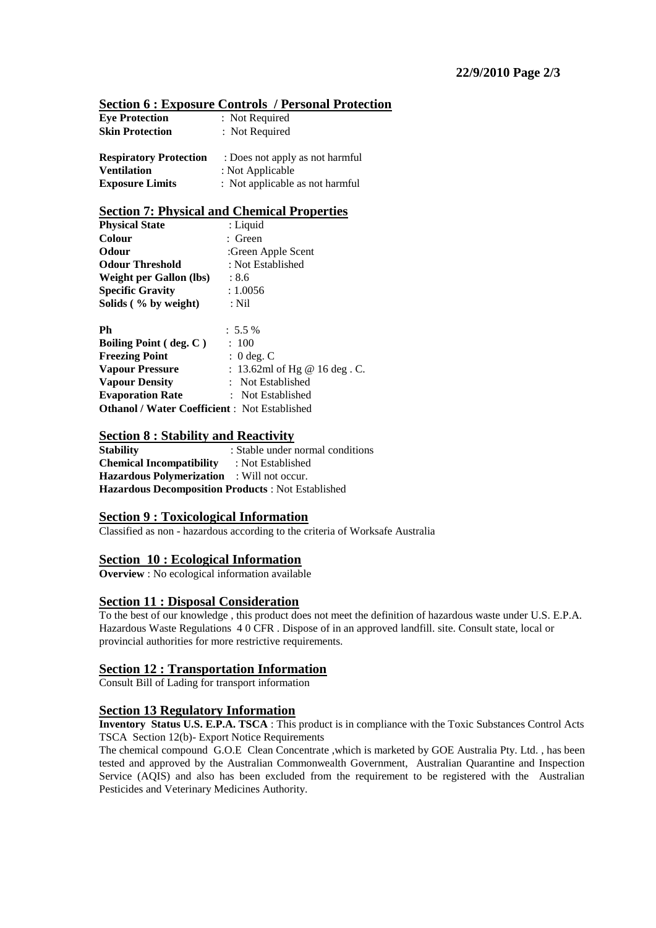| <b>Section 6 : Exposure Controls / Personal Protection</b> |
|------------------------------------------------------------|
|------------------------------------------------------------|

| <b>Eye Protection</b>         | : Not Required                  |
|-------------------------------|---------------------------------|
| <b>Skin Protection</b>        | : Not Required                  |
| <b>Respiratory Protection</b> | : Does not apply as not harmful |
| <b>Ventilation</b>            | : Not Applicable                |
| <b>Exposure Limits</b>        | : Not applicable as not harmful |

#### **Section 7: Physical and Chemical Properties**

| <b>Physical State</b>                               | : Liquid                      |
|-----------------------------------------------------|-------------------------------|
| <b>Colour</b>                                       | : Green                       |
| Odour                                               | :Green Apple Scent            |
| <b>Odour Threshold</b>                              | : Not Established             |
| <b>Weight per Gallon (lbs)</b>                      | : 8.6                         |
| <b>Specific Gravity</b>                             | : 1.0056                      |
| Solids (% by weight)                                | : Nil                         |
| Ph                                                  | $: 5.5 \%$                    |
| <b>Boiling Point</b> (deg. C)                       | : 100                         |
| <b>Freezing Point</b>                               | $: 0$ deg. C                  |
| <b>Vapour Pressure</b>                              | : 13.62ml of Hg @ 16 deg . C. |
| <b>Vapour Density</b>                               | : Not Established             |
| <b>Evaporation Rate</b>                             | : Not Established             |
| <b>Othanol / Water Coefficient:</b> Not Established |                               |

#### **Section 8 : Stability and Reactivity**

**Stability** : Stable under normal conditions **Chemical Incompatibility** : Not Established **Hazardous Polymerization** : Will not occur. **Hazardous Decomposition Products** : Not Established

# **Section 9 : Toxicological Information**

Classified as non - hazardous according to the criteria of Worksafe Australia

#### **Section 10 : Ecological Information**

**Overview** : No ecological information available

#### **Section 11 : Disposal Consideration**

To the best of our knowledge , this product does not meet the definition of hazardous waste under U.S. E.P.A. Hazardous Waste Regulations 4 0 CFR . Dispose of in an approved landfill. site. Consult state, local or provincial authorities for more restrictive requirements.

#### **Section 12 : Transportation Information**

Consult Bill of Lading for transport information

# **Section 13 Regulatory Information**

**Inventory Status U.S. E.P.A. TSCA** : This product is in compliance with the Toxic Substances Control Acts TSCA Section 12(b)- Export Notice Requirements

The chemical compound G.O.E Clean Concentrate ,which is marketed by GOE Australia Pty. Ltd. , has been tested and approved by the Australian Commonwealth Government, Australian Quarantine and Inspection Service (AQIS) and also has been excluded from the requirement to be registered with the Australian Pesticides and Veterinary Medicines Authority.